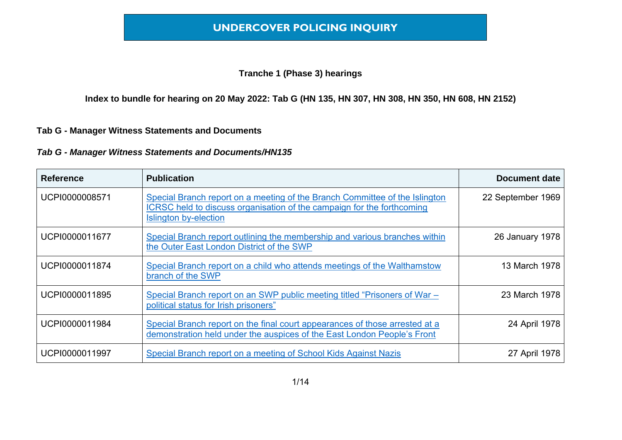#### **Tranche 1 (Phase 3) hearings**

**Index to bundle for hearing on 20 May 2022: Tab G (HN 135, HN 307, HN 308, HN 350, HN 608, HN 2152)**

#### **Tab G - Manager Witness Statements and Documents**

| <b>Reference</b> | <b>Publication</b>                                                                                                                                                             | <b>Document date</b> |
|------------------|--------------------------------------------------------------------------------------------------------------------------------------------------------------------------------|----------------------|
| UCPI0000008571   | Special Branch report on a meeting of the Branch Committee of the Islington<br>ICRSC held to discuss organisation of the campaign for the forthcoming<br>Islington by-election | 22 September 1969    |
| UCPI0000011677   | Special Branch report outlining the membership and various branches within<br>the Outer East London District of the SWP                                                        | 26 January 1978      |
| UCPI0000011874   | Special Branch report on a child who attends meetings of the Walthamstow<br>branch of the SWP                                                                                  | 13 March 1978        |
| UCPI0000011895   | Special Branch report on an SWP public meeting titled "Prisoners of War –<br>political status for Irish prisoners"                                                             | 23 March 1978        |
| UCPI0000011984   | Special Branch report on the final court appearances of those arrested at a<br>demonstration held under the auspices of the East London People's Front                         | 24 April 1978        |
| UCPI0000011997   | Special Branch report on a meeting of School Kids Against Nazis                                                                                                                | 27 April 1978        |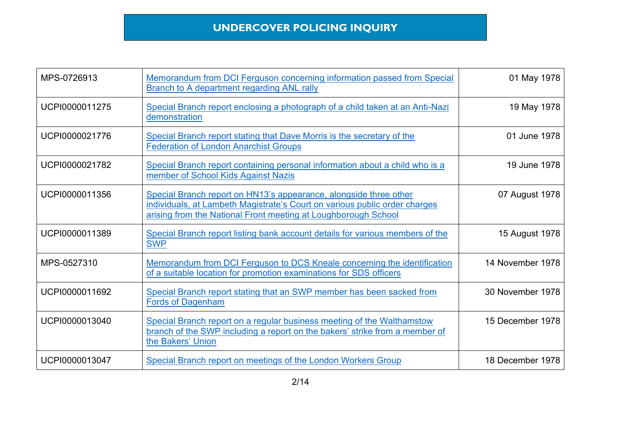| MPS-0726913    | Memorandum from DCI Ferguson concerning information passed from Special<br><b>Branch to A department regarding ANL rally</b>                                                                                      | 01 May 1978      |
|----------------|-------------------------------------------------------------------------------------------------------------------------------------------------------------------------------------------------------------------|------------------|
| UCPI0000011275 | Special Branch report enclosing a photograph of a child taken at an Anti-Nazi<br>demonstration                                                                                                                    | 19 May 1978      |
| UCPI0000021776 | Special Branch report stating that Dave Morris is the secretary of the<br><b>Federation of London Anarchist Groups</b>                                                                                            | 01 June 1978     |
| UCPI0000021782 | Special Branch report containing personal information about a child who is a<br>member of School Kids Against Nazis                                                                                               | 19 June 1978     |
| UCPI0000011356 | Special Branch report on HN13's appearance, alongside three other<br>individuals, at Lambeth Magistrate's Court on various public order charges<br>arising from the National Front meeting at Loughborough School | 07 August 1978   |
| UCPI0000011389 | Special Branch report listing bank account details for various members of the<br><b>SWP</b>                                                                                                                       | 15 August 1978   |
| MPS-0527310    | Memorandum from DCI Ferguson to DCS Kneale concerning the identification<br>of a suitable location for promotion examinations for SDS officers                                                                    | 14 November 1978 |
| UCPI0000011692 | Special Branch report stating that an SWP member has been sacked from<br><b>Fords of Dagenham</b>                                                                                                                 | 30 November 1978 |
| UCPI0000013040 | Special Branch report on a regular business meeting of the Walthamstow<br>branch of the SWP including a report on the bakers' strike from a member of<br>the Bakers' Union                                        | 15 December 1978 |
| UCPI0000013047 | Special Branch report on meetings of the London Workers Group                                                                                                                                                     | 18 December 1978 |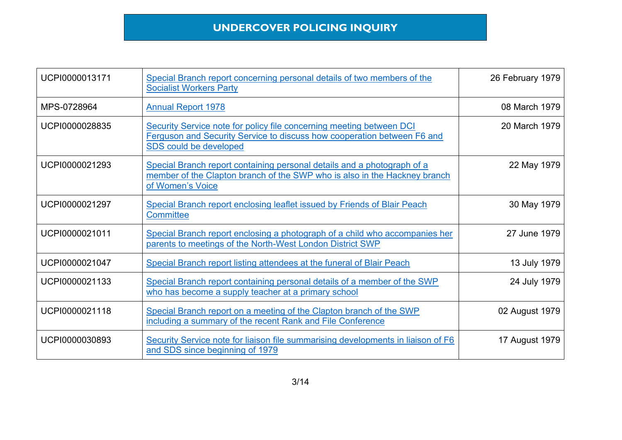| UCPI0000013171 | Special Branch report concerning personal details of two members of the<br><b>Socialist Workers Party</b>                                                                 | 26 February 1979 |
|----------------|---------------------------------------------------------------------------------------------------------------------------------------------------------------------------|------------------|
| MPS-0728964    | <b>Annual Report 1978</b>                                                                                                                                                 | 08 March 1979    |
| UCPI0000028835 | Security Service note for policy file concerning meeting between DCI<br>Ferguson and Security Service to discuss how cooperation between F6 and<br>SDS could be developed | 20 March 1979    |
| UCPI0000021293 | Special Branch report containing personal details and a photograph of a<br>member of the Clapton branch of the SWP who is also in the Hackney branch<br>of Women's Voice  | 22 May 1979      |
| UCPI0000021297 | Special Branch report enclosing leaflet issued by Friends of Blair Peach<br><b>Committee</b>                                                                              | 30 May 1979      |
| UCPI0000021011 | Special Branch report enclosing a photograph of a child who accompanies her<br>parents to meetings of the North-West London District SWP                                  | 27 June 1979     |
| UCPI0000021047 | Special Branch report listing attendees at the funeral of Blair Peach                                                                                                     | 13 July 1979     |
| UCPI0000021133 | Special Branch report containing personal details of a member of the SWP<br>who has become a supply teacher at a primary school                                           | 24 July 1979     |
| UCPI0000021118 | Special Branch report on a meeting of the Clapton branch of the SWP<br>including a summary of the recent Rank and File Conference                                         | 02 August 1979   |
| UCPI0000030893 | Security Service note for liaison file summarising developments in liaison of F6<br>and SDS since beginning of 1979                                                       | 17 August 1979   |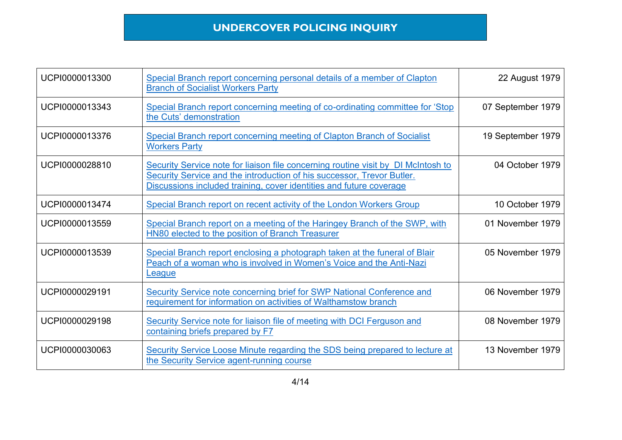| UCPI0000013300 | Special Branch report concerning personal details of a member of Clapton<br><b>Branch of Socialist Workers Party</b>                                                                                                               | 22 August 1979    |
|----------------|------------------------------------------------------------------------------------------------------------------------------------------------------------------------------------------------------------------------------------|-------------------|
| UCPI0000013343 | Special Branch report concerning meeting of co-ordinating committee for 'Stop<br>the Cuts' demonstration                                                                                                                           | 07 September 1979 |
| UCPI0000013376 | Special Branch report concerning meeting of Clapton Branch of Socialist<br><b>Workers Party</b>                                                                                                                                    | 19 September 1979 |
| UCPI0000028810 | Security Service note for liaison file concerning routine visit by DI McIntosh to<br>Security Service and the introduction of his successor, Trevor Butler.<br>Discussions included training, cover identities and future coverage | 04 October 1979   |
| UCPI0000013474 | Special Branch report on recent activity of the London Workers Group                                                                                                                                                               | 10 October 1979   |
| UCPI0000013559 | Special Branch report on a meeting of the Haringey Branch of the SWP, with<br>HN80 elected to the position of Branch Treasurer                                                                                                     | 01 November 1979  |
| UCPI0000013539 | Special Branch report enclosing a photograph taken at the funeral of Blair<br>Peach of a woman who is involved in Women's Voice and the Anti-Nazi<br>League                                                                        | 05 November 1979  |
| UCPI0000029191 | Security Service note concerning brief for SWP National Conference and<br>requirement for information on activities of Walthamstow branch                                                                                          | 06 November 1979  |
| UCPI0000029198 | Security Service note for liaison file of meeting with DCI Ferguson and<br>containing briefs prepared by F7                                                                                                                        | 08 November 1979  |
| UCPI0000030063 | Security Service Loose Minute regarding the SDS being prepared to lecture at<br>the Security Service agent-running course                                                                                                          | 13 November 1979  |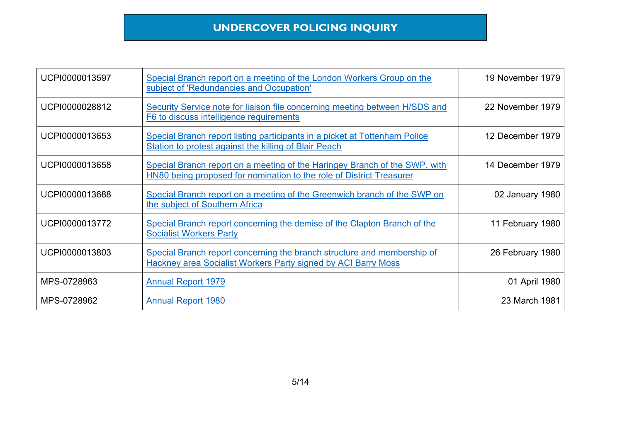| UCPI0000013597 | Special Branch report on a meeting of the London Workers Group on the<br>subject of 'Redundancies and Occupation'                                  | 19 November 1979 |
|----------------|----------------------------------------------------------------------------------------------------------------------------------------------------|------------------|
| UCPI0000028812 | Security Service note for liaison file concerning meeting between H/SDS and<br>F6 to discuss intelligence requirements                             | 22 November 1979 |
| UCPI0000013653 | Special Branch report listing participants in a picket at Tottenham Police<br>Station to protest against the killing of Blair Peach                | 12 December 1979 |
| UCPI0000013658 | Special Branch report on a meeting of the Haringey Branch of the SWP, with<br>HN80 being proposed for nomination to the role of District Treasurer | 14 December 1979 |
| UCPI0000013688 | Special Branch report on a meeting of the Greenwich branch of the SWP on<br>the subject of Southern Africa                                         | 02 January 1980  |
| UCPI0000013772 | Special Branch report concerning the demise of the Clapton Branch of the<br><b>Socialist Workers Party</b>                                         | 11 February 1980 |
| UCPI0000013803 | Special Branch report concerning the branch structure and membership of<br>Hackney area Socialist Workers Party signed by ACI Barry Moss           | 26 February 1980 |
| MPS-0728963    | <b>Annual Report 1979</b>                                                                                                                          | 01 April 1980    |
| MPS-0728962    | <b>Annual Report 1980</b>                                                                                                                          | 23 March 1981    |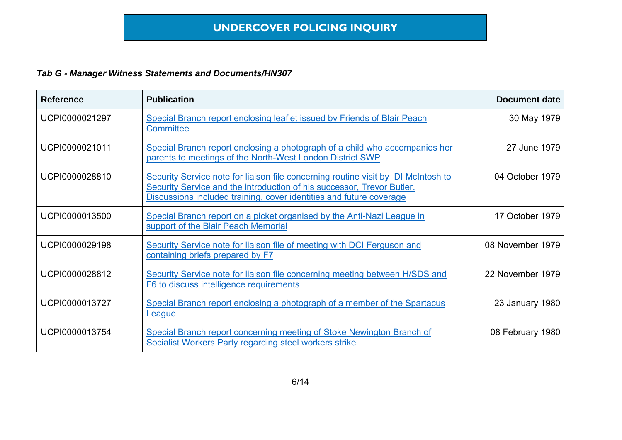| <b>Reference</b> | <b>Publication</b>                                                                                                                                                                                                                 | <b>Document date</b> |
|------------------|------------------------------------------------------------------------------------------------------------------------------------------------------------------------------------------------------------------------------------|----------------------|
| UCPI0000021297   | Special Branch report enclosing leaflet issued by Friends of Blair Peach<br><b>Committee</b>                                                                                                                                       | 30 May 1979          |
| UCPI0000021011   | Special Branch report enclosing a photograph of a child who accompanies her<br>parents to meetings of the North-West London District SWP                                                                                           | 27 June 1979         |
| UCPI0000028810   | Security Service note for liaison file concerning routine visit by DI McIntosh to<br>Security Service and the introduction of his successor, Trevor Butler.<br>Discussions included training, cover identities and future coverage | 04 October 1979      |
| UCPI0000013500   | Special Branch report on a picket organised by the Anti-Nazi League in<br>support of the Blair Peach Memorial                                                                                                                      | 17 October 1979      |
| UCPI0000029198   | Security Service note for liaison file of meeting with DCI Ferguson and<br>containing briefs prepared by F7                                                                                                                        | 08 November 1979     |
| UCPI0000028812   | Security Service note for liaison file concerning meeting between H/SDS and<br>F6 to discuss intelligence requirements                                                                                                             | 22 November 1979     |
| UCPI0000013727   | Special Branch report enclosing a photograph of a member of the Spartacus<br><b>League</b>                                                                                                                                         | 23 January 1980      |
| UCPI0000013754   | Special Branch report concerning meeting of Stoke Newington Branch of<br><b>Socialist Workers Party regarding steel workers strike</b>                                                                                             | 08 February 1980     |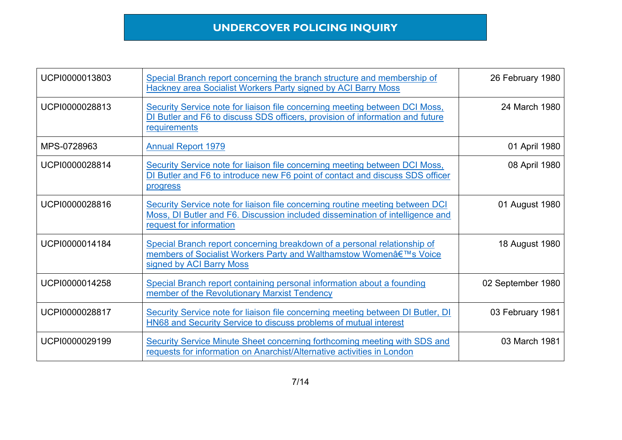| UCPI0000013803 | Special Branch report concerning the branch structure and membership of<br><b>Hackney area Socialist Workers Party signed by ACI Barry Moss</b>                                           | 26 February 1980  |
|----------------|-------------------------------------------------------------------------------------------------------------------------------------------------------------------------------------------|-------------------|
| UCPI0000028813 | Security Service note for liaison file concerning meeting between DCI Moss,<br>DI Butler and F6 to discuss SDS officers, provision of information and future<br>requirements              | 24 March 1980     |
| MPS-0728963    | <b>Annual Report 1979</b>                                                                                                                                                                 | 01 April 1980     |
| UCPI0000028814 | Security Service note for liaison file concerning meeting between DCI Moss,<br>DI Butler and F6 to introduce new F6 point of contact and discuss SDS officer<br>progress                  | 08 April 1980     |
| UCPI0000028816 | Security Service note for liaison file concerning routine meeting between DCI<br>Moss, DI Butler and F6. Discussion included dissemination of intelligence and<br>request for information | 01 August 1980    |
| UCPI0000014184 | Special Branch report concerning breakdown of a personal relationship of<br>members of Socialist Workers Party and Walthamstow Women's Voice<br>signed by ACI Barry Moss                  | 18 August 1980    |
| UCPI0000014258 | Special Branch report containing personal information about a founding<br>member of the Revolutionary Marxist Tendency                                                                    | 02 September 1980 |
| UCPI0000028817 | Security Service note for liaison file concerning meeting between DI Butler, DI<br>HN68 and Security Service to discuss problems of mutual interest                                       | 03 February 1981  |
| UCPI0000029199 | Security Service Minute Sheet concerning forthcoming meeting with SDS and<br>requests for information on Anarchist/Alternative activities in London                                       | 03 March 1981     |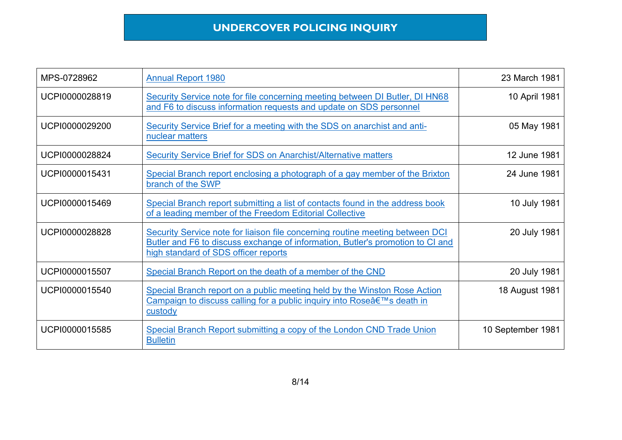| MPS-0728962    | <b>Annual Report 1980</b>                                                                                                                                                                               | 23 March 1981     |
|----------------|---------------------------------------------------------------------------------------------------------------------------------------------------------------------------------------------------------|-------------------|
| UCPI0000028819 | Security Service note for file concerning meeting between DI Butler, DI HN68<br>and F6 to discuss information requests and update on SDS personnel                                                      | 10 April 1981     |
| UCPI0000029200 | Security Service Brief for a meeting with the SDS on anarchist and anti-<br>nuclear matters                                                                                                             | 05 May 1981       |
| UCPI0000028824 | <b>Security Service Brief for SDS on Anarchist/Alternative matters</b>                                                                                                                                  | 12 June 1981      |
| UCPI0000015431 | Special Branch report enclosing a photograph of a gay member of the Brixton<br>branch of the SWP                                                                                                        | 24 June 1981      |
| UCPI0000015469 | Special Branch report submitting a list of contacts found in the address book<br>of a leading member of the Freedom Editorial Collective                                                                | 10 July 1981      |
| UCPI0000028828 | Security Service note for liaison file concerning routine meeting between DCI<br>Butler and F6 to discuss exchange of information, Butler's promotion to CI and<br>high standard of SDS officer reports | 20 July 1981      |
| UCPI0000015507 | Special Branch Report on the death of a member of the CND                                                                                                                                               | 20 July 1981      |
| UCPI0000015540 | Special Branch report on a public meeting held by the Winston Rose Action<br>Campaign to discuss calling for a public inquiry into Rose's death in<br>custody                                           | 18 August 1981    |
| UCPI0000015585 | Special Branch Report submitting a copy of the London CND Trade Union<br><b>Bulletin</b>                                                                                                                | 10 September 1981 |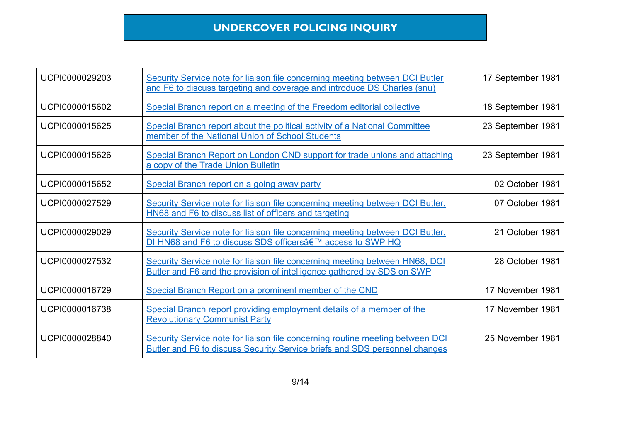| UCPI0000029203 | Security Service note for liaison file concerning meeting between DCI Butler<br>and F6 to discuss targeting and coverage and introduce DS Charles (snu)     | 17 September 1981 |
|----------------|-------------------------------------------------------------------------------------------------------------------------------------------------------------|-------------------|
| UCPI0000015602 | Special Branch report on a meeting of the Freedom editorial collective                                                                                      | 18 September 1981 |
| UCPI0000015625 | Special Branch report about the political activity of a National Committee<br>member of the National Union of School Students                               | 23 September 1981 |
| UCPI0000015626 | Special Branch Report on London CND support for trade unions and attaching<br>a copy of the Trade Union Bulletin                                            | 23 September 1981 |
| UCPI0000015652 | Special Branch report on a going away party                                                                                                                 | 02 October 1981   |
| UCPI0000027529 | Security Service note for liaison file concerning meeting between DCI Butler,<br>HN68 and F6 to discuss list of officers and targeting                      | 07 October 1981   |
| UCPI0000029029 | Security Service note for liaison file concerning meeting between DCI Butler,<br>DI HN68 and F6 to discuss SDS officers' access to SWP HQ                   | 21 October 1981   |
| UCPI0000027532 | Security Service note for liaison file concerning meeting between HN68, DCI<br>Butler and F6 and the provision of intelligence gathered by SDS on SWP       | 28 October 1981   |
| UCPI0000016729 | Special Branch Report on a prominent member of the CND                                                                                                      | 17 November 1981  |
| UCPI0000016738 | Special Branch report providing employment details of a member of the<br><b>Revolutionary Communist Party</b>                                               | 17 November 1981  |
| UCPI0000028840 | Security Service note for liaison file concerning routine meeting between DCI<br>Butler and F6 to discuss Security Service briefs and SDS personnel changes | 25 November 1981  |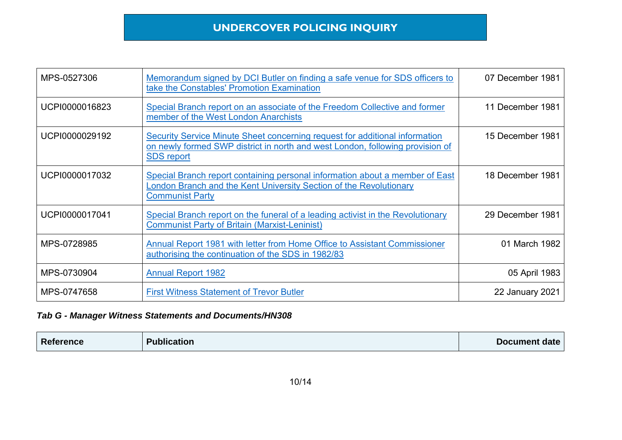| MPS-0527306    | Memorandum signed by DCI Butler on finding a safe venue for SDS officers to<br>take the Constables' Promotion Examination                                                         | 07 December 1981 |
|----------------|-----------------------------------------------------------------------------------------------------------------------------------------------------------------------------------|------------------|
| UCPI0000016823 | Special Branch report on an associate of the Freedom Collective and former<br>member of the West London Anarchists                                                                | 11 December 1981 |
| UCPI0000029192 | Security Service Minute Sheet concerning request for additional information<br>on newly formed SWP district in north and west London, following provision of<br><b>SDS report</b> | 15 December 1981 |
| UCPI0000017032 | Special Branch report containing personal information about a member of East<br>London Branch and the Kent University Section of the Revolutionary<br><b>Communist Party</b>      | 18 December 1981 |
| UCPI0000017041 | Special Branch report on the funeral of a leading activist in the Revolutionary<br><b>Communist Party of Britain (Marxist-Leninist)</b>                                           | 29 December 1981 |
| MPS-0728985    | Annual Report 1981 with letter from Home Office to Assistant Commissioner<br>authorising the continuation of the SDS in 1982/83                                                   | 01 March 1982    |
| MPS-0730904    | <b>Annual Report 1982</b>                                                                                                                                                         | 05 April 1983    |
| MPS-0747658    | <b>First Witness Statement of Trevor Butler</b>                                                                                                                                   | 22 January 2021  |

| <b>Reference</b> | <b>Publication</b> | Document date |
|------------------|--------------------|---------------|
|                  |                    |               |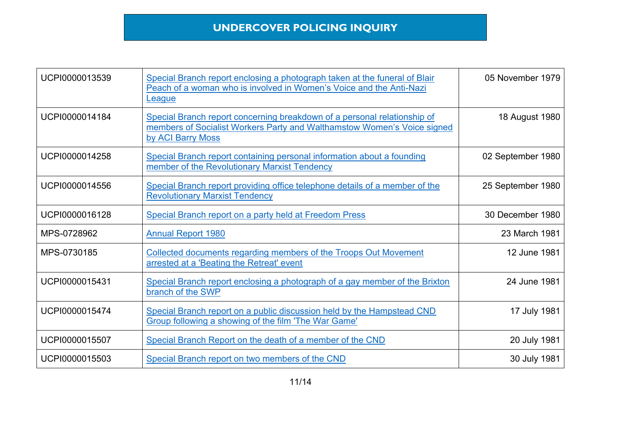| UCPI0000013539 | Special Branch report enclosing a photograph taken at the funeral of Blair<br>Peach of a woman who is involved in Women's Voice and the Anti-Nazi<br>League              | 05 November 1979  |
|----------------|--------------------------------------------------------------------------------------------------------------------------------------------------------------------------|-------------------|
| UCPI0000014184 | Special Branch report concerning breakdown of a personal relationship of<br>members of Socialist Workers Party and Walthamstow Women's Voice signed<br>by ACI Barry Moss | 18 August 1980    |
| UCPI0000014258 | Special Branch report containing personal information about a founding<br>member of the Revolutionary Marxist Tendency                                                   | 02 September 1980 |
| UCPI0000014556 | Special Branch report providing office telephone details of a member of the<br><b>Revolutionary Marxist Tendency</b>                                                     | 25 September 1980 |
| UCPI0000016128 | Special Branch report on a party held at Freedom Press                                                                                                                   | 30 December 1980  |
| MPS-0728962    | <b>Annual Report 1980</b>                                                                                                                                                | 23 March 1981     |
| MPS-0730185    | Collected documents regarding members of the Troops Out Movement<br>arrested at a 'Beating the Retreat' event                                                            | 12 June 1981      |
| UCPI0000015431 | Special Branch report enclosing a photograph of a gay member of the Brixton<br>branch of the SWP                                                                         | 24 June 1981      |
| UCPI0000015474 | Special Branch report on a public discussion held by the Hampstead CND<br>Group following a showing of the film 'The War Game'                                           | 17 July 1981      |
| UCPI0000015507 | Special Branch Report on the death of a member of the CND                                                                                                                | 20 July 1981      |
| UCPI0000015503 | Special Branch report on two members of the CND                                                                                                                          | 30 July 1981      |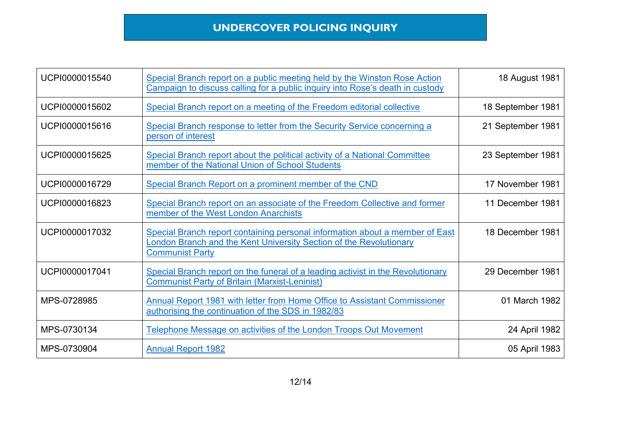| UCPI0000015540 | Special Branch report on a public meeting held by the Winston Rose Action<br>Campaign to discuss calling for a public inquiry into Rose's death in custody                   | 18 August 1981    |
|----------------|------------------------------------------------------------------------------------------------------------------------------------------------------------------------------|-------------------|
| UCPI0000015602 | Special Branch report on a meeting of the Freedom editorial collective                                                                                                       | 18 September 1981 |
| UCPI0000015616 | Special Branch response to letter from the Security Service concerning a<br>person of interest                                                                               | 21 September 1981 |
| UCPI0000015625 | Special Branch report about the political activity of a National Committee<br>member of the National Union of School Students                                                | 23 September 1981 |
| UCPI0000016729 | Special Branch Report on a prominent member of the CND                                                                                                                       | 17 November 1981  |
| UCPI0000016823 | Special Branch report on an associate of the Freedom Collective and former<br>member of the West London Anarchists                                                           | 11 December 1981  |
| UCPI0000017032 | Special Branch report containing personal information about a member of East<br>London Branch and the Kent University Section of the Revolutionary<br><b>Communist Party</b> | 18 December 1981  |
| UCPI0000017041 | Special Branch report on the funeral of a leading activist in the Revolutionary<br><b>Communist Party of Britain (Marxist-Leninist)</b>                                      | 29 December 1981  |
| MPS-0728985    | <b>Annual Report 1981 with letter from Home Office to Assistant Commissioner</b><br>authorising the continuation of the SDS in 1982/83                                       | 01 March 1982     |
| MPS-0730134    | Telephone Message on activities of the London Troops Out Movement                                                                                                            | 24 April 1982     |
| MPS-0730904    | <b>Annual Report 1982</b>                                                                                                                                                    | 05 April 1983     |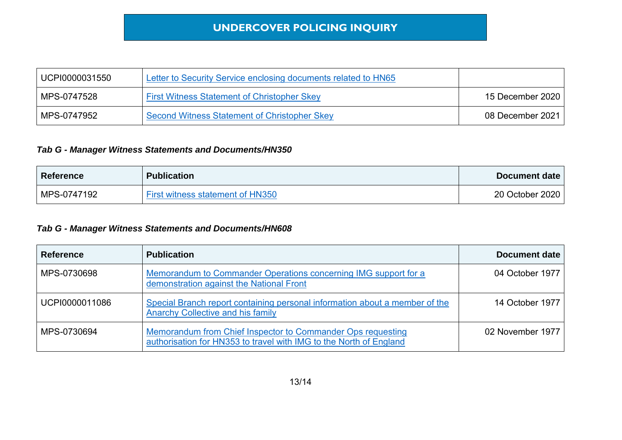| UCPI0000031550 | Letter to Security Service enclosing documents related to HN65 |                  |
|----------------|----------------------------------------------------------------|------------------|
| MPS-0747528    | <b>First Witness Statement of Christopher Skey</b>             | 15 December 2020 |
| MPS-0747952    | Second Witness Statement of Christopher Skey                   | 08 December 2021 |

#### *Tab G - Manager Witness Statements and Documents/HN350*

| <b>Reference</b> | <b>Publication</b>                      | Document date   |
|------------------|-----------------------------------------|-----------------|
| MPS-0747192      | <b>First witness statement of HN350</b> | 20 October 2020 |

| <b>Reference</b> | <b>Publication</b>                                                                                                                | Document date    |
|------------------|-----------------------------------------------------------------------------------------------------------------------------------|------------------|
| MPS-0730698      | Memorandum to Commander Operations concerning IMG support for a<br>demonstration against the National Front                       | 04 October 1977  |
| UCPI0000011086   | Special Branch report containing personal information about a member of the<br>Anarchy Collective and his family                  | 14 October 1977  |
| MPS-0730694      | Memorandum from Chief Inspector to Commander Ops requesting<br>authorisation for HN353 to travel with IMG to the North of England | 02 November 1977 |